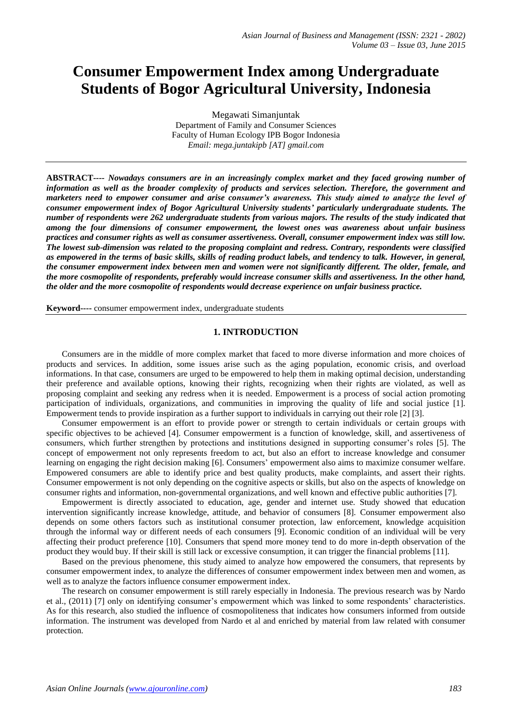# **Consumer Empowerment Index among Undergraduate Students of Bogor Agricultural University, Indonesia**

Megawati Simanjuntak Department of Family and Consumer Sciences Faculty of Human Ecology IPB Bogor Indonesia *Email: mega.juntakipb [AT] gmail.com*

**ABSTRACT***---- Nowadays consumers are in an increasingly complex market and they faced growing number of information as well as the broader complexity of products and services selection. Therefore, the government and marketers need to empower consumer and arise consumer's awareness. This study aimed to analyze the level of consumer empowerment index of Bogor Agricultural University students' particularly undergraduate students. The number of respondents were 262 undergraduate students from various majors. The results of the study indicated that among the four dimensions of consumer empowerment, the lowest ones was awareness about unfair business practices and consumer rights as well as consumer assertiveness. Overall, consumer empowerment index was still low. The lowest sub-dimension was related to the proposing complaint and redress. Contrary, respondents were classified as empowered in the terms of basic skills, skills of reading product labels, and tendency to talk. However, in general, the consumer empowerment index between men and women were not significantly different. The older, female, and the more cosmopolite of respondents, preferably would increase consumer skills and assertiveness. In the other hand, the older and the more cosmopolite of respondents would decrease experience on unfair business practice.*

**Keyword----** consumer empowerment index, undergraduate students

## **1. INTRODUCTION**

Consumers are in the middle of more complex market that faced to more diverse information and more choices of products and services. In addition, some issues arise such as the aging population, economic crisis, and overload informations. In that case, consumers are urged to be empowered to help them in making optimal decision, understanding their preference and available options, knowing their rights, recognizing when their rights are violated, as well as proposing complaint and seeking any redress when it is needed. Empowerment is a process of social action promoting participation of individuals, organizations, and communities in improving the quality of life and social justice [1]. Empowerment tends to provide inspiration as a further support to individuals in carrying out their role [2] [3].

Consumer empowerment is an effort to provide power or strength to certain individuals or certain groups with specific objectives to be achieved [4]. Consumer empowerment is a function of knowledge, skill, and assertiveness of consumers, which further strengthen by protections and institutions designed in supporting consumer's roles [5]. The concept of empowerment not only represents freedom to act, but also an effort to increase knowledge and consumer learning on engaging the right decision making [6]. Consumers' empowerment also aims to maximize consumer welfare. Empowered consumers are able to identify price and best quality products, make complaints, and assert their rights. Consumer empowerment is not only depending on the cognitive aspects or skills, but also on the aspects of knowledge on consumer rights and information, non-governmental organizations, and well known and effective public authorities [7].

Empowerment is directly associated to education, age, gender and internet use. Study showed that education intervention significantly increase knowledge, attitude, and behavior of consumers [8]. Consumer empowerment also depends on some others factors such as institutional consumer protection, law enforcement, knowledge acquisition through the informal way or different needs of each consumers [9]. Economic condition of an individual will be very affecting their product preference [10]. Consumers that spend more money tend to do more in-depth observation of the product they would buy. If their skill is still lack or excessive consumption, it can trigger the financial problems [11].

Based on the previous phenomene, this study aimed to analyze how empowered the consumers, that represents by consumer empowerment index, to analyze the differences of consumer empowerment index between men and women, as well as to analyze the factors influence consumer empowerment index.

The research on consumer empowerment is still rarely especially in Indonesia. The previous research was by Nardo et al., (2011) [7] only on identifying consumer's empowerment which was linked to some respondents' characteristics. As for this research, also studied the influence of cosmopoliteness that indicates how consumers informed from outside information. The instrument was developed from Nardo et al and enriched by material from law related with consumer protection.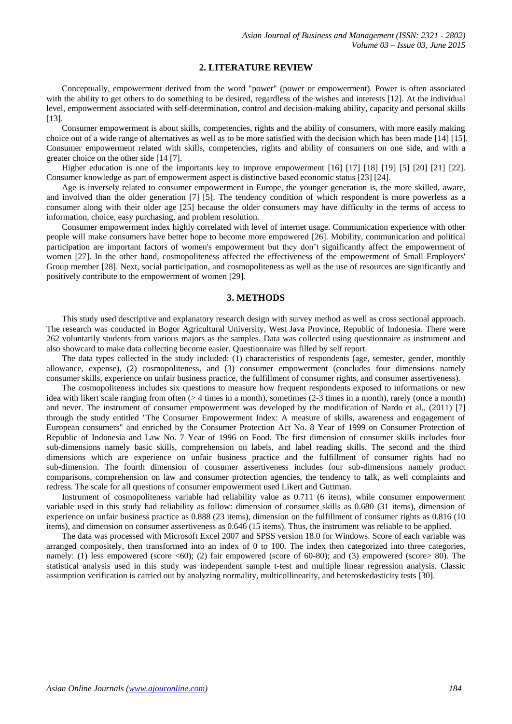### **2. LITERATURE REVIEW**

Conceptually, empowerment derived from the word "power" (power or empowerment). Power is often associated with the ability to get others to do something to be desired, regardless of the wishes and interests [12]. At the individual level, empowerment associated with self-determination, control and decision-making ability, capacity and personal skills [13].

Consumer empowerment is about skills, competencies, rights and the ability of consumers, with more easily making choice out of a wide range of alternatives as well as to be more satisfied with the decision which has been made [14] [15]. Consumer empowerment related with skills, competencies, rights and ability of consumers on one side, and with a greater choice on the other side [14 [7].

Higher education is one of the importants key to improve empowerment [16] [17] [18] [19] [5] [20] [21] [22]. Consumer knowledge as part of empowerment aspect is distinctive based economic status [23] [24].

Age is inversely related to consumer empowerment in Europe, the younger generation is, the more skilled, aware, and involved than the older generation [7] [5]. The tendency condition of which respondent is more powerless as a consumer along with their older age [25] because the older consumers may have difficulty in the terms of access to information, choice, easy purchasing, and problem resolution.

Consumer empowerment index highly correlated with level of [internet](http://www.spellboy.com/#w69) usage. Communication experience with other people will make consumers have better hope to become more empowered [26]. Mobility, communication and political participation are important factors of women's empowerment but they don't significantly affect the empowerment of women [27]. In the other hand, cosmopoliteness affected the effectiveness of the empowerment of Small Employers' Group member [28]. Next, social participation, and cosmopoliteness as well as the use of resources are significantly and positively contribute to the empowerment of women [29].

## **3. METHODS**

This study used descriptive and explanatory research design with survey method as well as cross sectional approach. The research was conducted in Bogor Agricultural University, West Java Province, Republic of Indonesia. There were 262 voluntarily students from various majors as the samples. Data was collected using questionnaire as instrument and also showcard to make data collecting become easier. Questionnaire was filled by self report.

The data types collected in the study included: (1) characteristics of respondents (age, semester, gender, monthly allowance, expense), (2) cosmopoliteness, and (3) consumer empowerment (concludes four dimensions namely consumer skills, experience on unfair business practice, the fulfillment of consumer rights, and consumer assertiveness).

The cosmopoliteness includes six questions to measure how frequent respondents exposed to informations or new idea with likert scale ranging from often (> 4 times in a month), sometimes (2-3 times in a month), rarely (once a month) and never. The instrument of consumer empowerment was developed by the modification of Nardo et al., (2011) [7] through the study entitled "The Consumer Empowerment Index: A measure of skills, awareness and engagement of European consumers" and enriched by the Consumer Protection Act No. 8 Year of 1999 on Consumer Protection of Republic of Indonesia and Law No. 7 Year of 1996 on Food. The first dimension of consumer skills includes four sub-dimensions namely basic skills, comprehension on labels, and label reading skills. The second and the third dimensions which are experience on unfair business practice and the fulfillment of consumer rights had no sub-dimension. The fourth dimension of consumer assertiveness includes four sub-dimensions namely product comparisons, comprehension on law and consumer protection agencies, the tendency to talk, as well complaints and redress. The scale for all questions of consumer empowerment used Likert and Guttman.

Instrument of cosmopoliteness variable had reliability value as 0.711 (6 items), while consumer empowerment variable used in this study had reliability as follow: dimension of consumer skills as 0.680 (31 items), dimension of experience on unfair business practice as 0.888 (23 items), dimension on the fulfillment of consumer rights as 0.816 (10 items), and dimension on consumer assertiveness as 0.646 (15 items). Thus, the instrument was reliable to be applied.

The data was processed with Microsoft Excel 2007 and SPSS version 18.0 for Windows. Score of each variable was arranged compositely, then transformed into an index of 0 to 100. The index then categorized into three categories, namely: (1) less empowered (score <60); (2) fair empowered (score of 60-80); and (3) empowered (score> 80). The statistical analysis used in this study was independent sample t-test and multiple linear regression analysis. Classic assumption verification is carried out by analyzing normality, multicollinearity, and heteroskedasticity tests [30].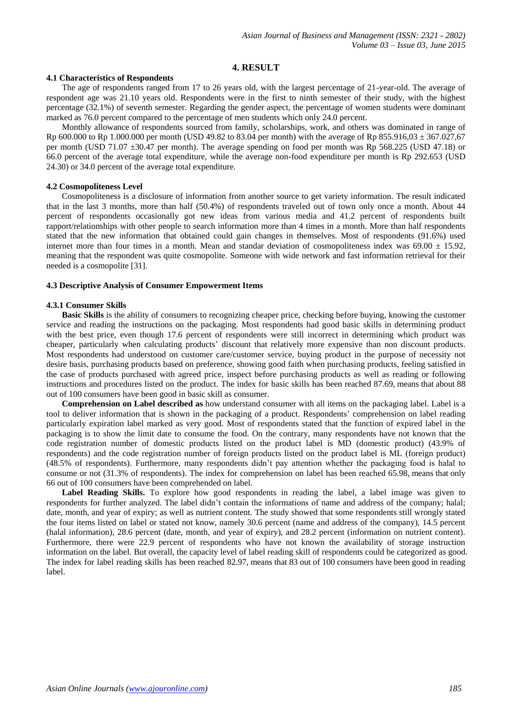#### **4. RESULT**

#### **4.1 Characteristics of Respondents**

The age of respondents ranged from 17 to 26 years old, with the largest percentage of 21-year-old. The average of respondent age was 21.10 years old. Respondents were in the first to ninth semester of their study, with the highest percentage (32.1%) of seventh semester. Regarding the gender aspect, the percentage of women students were dominant marked as 76.0 percent compared to the percentage of men students which only 24.0 percent.

Monthly allowance of respondents sourced from family, scholarships, work, and others was dominated in range of Rp 600.000 to Rp 1.000.000 per month (USD 49.82 to 83.04 per month) with the average of Rp 855.916,03 ± 367.027,67 per month (USD 71.07 ±30.47 per month). The average spending on food per month was Rp 568.225 (USD 47.18) or 66.0 percent of the average total expenditure, while the average non-food expenditure per month is Rp 292.653 (USD 24.30) or 34.0 percent of the average total expenditure.

# **4.2 Cosmopoliteness Level**

Cosmopoliteness is a disclosure of information from another source to get variety information. The result indicated that in the last 3 months, more than half (50.4%) of respondents traveled out of town only once a month. About 44 percent of respondents occasionally got new ideas from various media and 41.2 percent of respondents built rapport/relationships with other people to search information more than 4 times in a month. More than half respondents stated that the new information that obtained could gain changes in themselves. Most of respondents (91.6%) used internet more than four times in a month. Mean and standar deviation of cosmopoliteness index was  $69.00 \pm 15.92$ , meaning that the respondent was quite cosmopolite. Someone with wide network and fast information retrieval for their needed is a cosmopolite [31].

#### **4.3 Descriptive Analysis of Consumer Empowerment Items**

#### **4.3.1 Consumer Skills**

**Basic Skills** is the ability of consumers to recognizing cheaper price, checking before buying, knowing the customer service and reading the instructions on the packaging. Most respondents had good basic skills in determining product with the best price, even though 17.6 percent of respondents were still incorrect in determining which product was cheaper, particularly when calculating products' discount that relatively more expensive than non discount products. Most respondents had understood on customer care/customer service, buying product in the purpose of necessity not desire basis, purchasing products based on preference, showing good faith when purchasing products, feeling satisfied in the case of products purchased with agreed price, inspect before purchasing products as well as reading or following instructions and procedures listed on the product. The index for basic skills has been reached 87.69, means that about 88 out of 100 consumers have been good in basic skill as consumer.

**Comprehension on Label described as** how understand consumer with all items on the packaging label. Label is a tool to deliver information that is shown in the packaging of a product. Respondents' comprehension on label reading particularly expiration label marked as very good. Most of respondents stated that the function of expired label in the packaging is to show the limit date to consume the food. On the contrary, many respondents have not known that the code registration number of domestic products listed on the product label is MD (domestic product) (43.9% of respondents) and the code registration number of foreign products listed on the product label is ML (foreign product) (48.5% of respondents). Furthermore, many respondents didn't pay attention whether the packaging food is halal to consume or not (31.3% of respondents). The index for comprehension on label has been reached 65.98, means that only 66 out of 100 consumers have been comprehended on label.

Label Reading Skills. To explore how good respondents in reading the label, a label image was given to respondents for further analyzed. The label didn't contain the informations of name and address of the company; halal; date, month, and year of expiry; as well as nutrient content. The study showed that some respondents still wrongly stated the four items listed on label or stated not know, namely 30.6 percent (name and address of the company), 14.5 percent (halal information), 28.6 percent (date, month, and year of expiry), and 28.2 percent (information on nutrient content). Furthermore, there were 22.9 percent of respondents who have not known the availability of storage instruction information on the label. But overall, the capacity level of label reading skill of respondents could be categorized as good. The index for label reading skills has been reached 82.97, means that 83 out of 100 consumers have been good in reading label.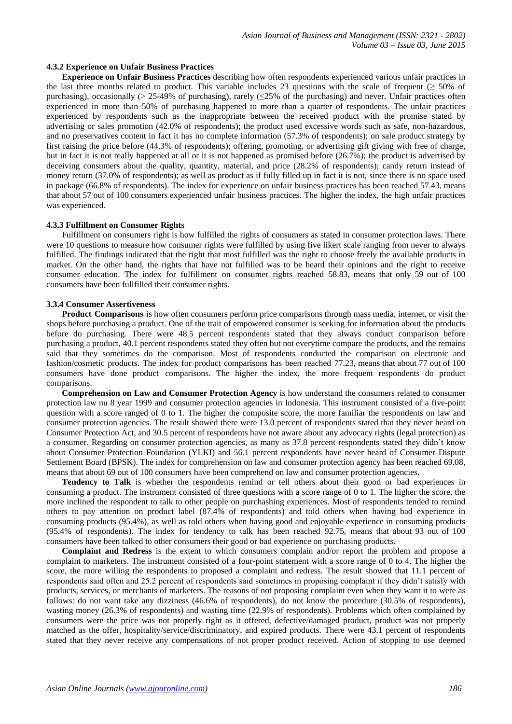#### **4.3.2 Experience on Unfair Business Practices**

**Experience on Unfair Business Practices** describing how often respondents experienced various unfair practices in last three months related to product. This variable includes 23 questions with the scale of frequent ( $\geq 50\%$  of purchasing), occasionally ( $> 25-49\%$  of purchasing), rarely ( $\leq 25\%$  of the purchasing) and never. Unfair practices often experienced in more than 50% of purchasing happened to more than a quarter of respondents. The unfair practices experienced by respondents such as the inappropriate between the received product with the promise stated by advertising or sales promotion (42.0% of respondents); the product used excessive words such as safe, non-hazardous, and no preservatives content in fact it has no complete information (57.3% of respondents); on sale product strategy by first raising the price before (44.3% of respondents); offering, promoting, or advertising gift giving with free of charge, but in fact it is not really happened at all or it is not happened as promised before (26.7%); the product is advertised by deceiving consumers about the quality, quantity, material, and price (28.2% of respondents); candy return instead of money return (37.0% of respondents); as well as product as if fully filled up in fact it is not, since there is no space used in package (66.8% of respondents). The index for experience on unfair business practices has been reached 57.43, means that about 57 out of 100 consumers experienced unfair business practices. The higher the index, the high unfair practices was experienced.

#### **4.3.3 Fulfillment on Consumer Rights**

Fulfillment on consumers right is how fulfilled the rights of consumers as stated in consumer protection laws. There were 10 questions to measure how consumer rights were fulfilled by using five likert scale ranging from never to always fulfilled. The findings indicated that the right that most fulfilled was the right to choose freely the available products in market. On the other hand, the rights that have not fulfilled was to be heard their opinions and the right to receive consumer education. The index for fulfillment on consumer rights reached 58.83, means that only 59 out of 100 consumers have been fullfilled their consumer rights.

#### **3.3.4 Consumer Assertiveness**

**Product Comparisons** is how often consumers perform price comparisons through mass media, internet, or visit the shops before purchasing a product. One of the trait of empowered consumer is seeking for information about the products before do purchasing. There were 48.5 percent respondents stated that they always conduct comparison before purchasing a product, 40.1 percent respondents stated they often but not everytime compare the products, and the remains said that they sometimes do the comparison. Most of respondents conducted the comparison on electronic and fashion/cosmetic products. The index for product comparisons has been reached 77.23, means that about 77 out of 100 consumers have done product comparisons. The higher the index, the more frequent respondents do product comparisons.

**Comprehension on Law and Consumer Protection Agency** is how understand the consumers related to consumer protection law nu 8 year 1999 and consumer protection agencies in Indonesia. This instrument consisted of a five-point question with a score ranged of 0 to 1. The higher the composite score, the more familiar the respondents on law and consumer protection agencies. The result showed there were 13.0 percent of respondents stated that they never heard on Consumer Protection Act, and 30.5 percent of respondents have not aware about any advocacy rights (legal protection) as a consumer. Regarding on consumer protection agencies, as many as 37.8 percent respondents stated they didn't know about Consumer Protection Foundation (YLKI) and 56.1 percent respondents have never heard of Consumer Dispute Settlement Board (BPSK). The index for comprehension on law and consumer protection agency has been reached 69.08, means that about 69 out of 100 consumers have been comprehend on law and consumer protection agencies.

**Tendency to Talk** is whether the respondents remind or tell others about their good or bad experiences in consuming a product. The instrument consisted of three questions with a score range of 0 to 1. The higher the score, the more inclined the respondent to talk to other people on purchashing experiences. Most of respondents tended to remind others to pay attention on product label (87.4% of respondents) and told others when having bad experience in consuming products (95.4%), as well as told others when having good and enjoyable experience in consuming products (95.4% of respondents). The index for tendency to talk has been reached 92.75, means that about 93 out of 100 consumers have been talked to other consumers their good or bad experience on purchasing products.

**Complaint and Redress** is the extent to which consumers complain and/or report the problem and propose a complaint to marketers. The instrument consisted of a four-point statement with a score range of 0 to 4. The higher the score, the more willing the respondents to proposed a complaint and redress. The result showed that 11.1 percent of respondents said often and 25.2 percent of respondents said sometimes in proposing complaint if they didn't satisfy with products, services, or merchants of marketers. The reasons of not proposing complaint even when they want it to were as follows: do not want take any dizziness (46.6% of respondents), do not know the procedure (30.5% of respondents), wasting money (26.3% of respondents) and wasting time (22.9% of respondents). Problems which often complained by consumers were the price was not properly right as it offered, defective/damaged product, product was not properly matched as the offer, hospitality/service/discriminatory, and expired products. There were 43.1 percent of respondents stated that they never receive any compensations of not proper product received. Action of stopping to use deemed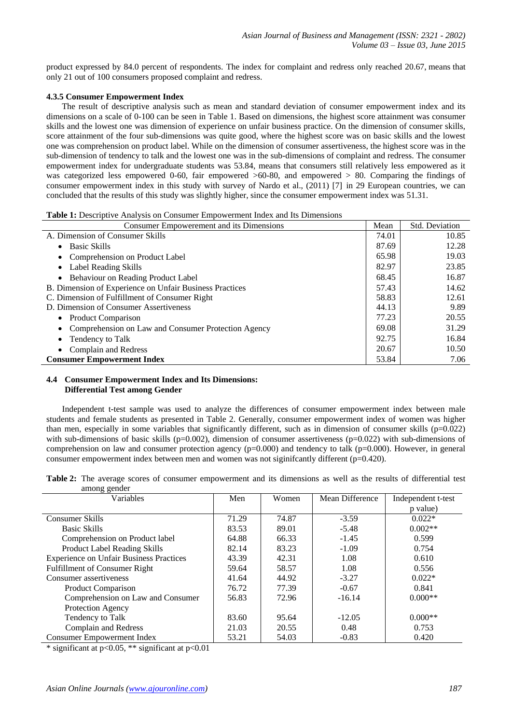product expressed by 84.0 percent of respondents. The index for complaint and redress only reached 20.67, means that only 21 out of 100 consumers proposed complaint and redress.

#### **4.3.5 Consumer Empowerment Index**

The result of descriptive analysis such as mean and standard deviation of consumer empowerment index and its dimensions on a scale of 0-100 can be seen in Table 1. Based on dimensions, the highest score attainment was consumer skills and the lowest one was dimension of experience on unfair business practice. On the dimension of consumer skills, score attainment of the four sub-dimensions was quite good, where the highest score was on basic skills and the lowest one was comprehension on product label. While on the dimension of consumer assertiveness, the highest score was in the sub-dimension of tendency to talk and the lowest one was in the sub-dimensions of complaint and redress. The consumer empowerment index for undergraduate students was 53.84, means that consumers still relatively less empowered as it was categorized less empowered 0-60, fair empowered  $>60-80$ , and empowered  $>80$ . Comparing the findings of consumer empowerment index in this study with survey of Nardo et al., (2011) [7] in 29 European countries, we can concluded that the results of this study was slightly higher, since the consumer empowerment index was 51.31.

**Table 1:** Descriptive Analysis on Consumer Empowerment Index and Its Dimensions

| Consumer Empowerement and its Dimensions                | Mean  | Std. Deviation |
|---------------------------------------------------------|-------|----------------|
| A. Dimension of Consumer Skills                         | 74.01 | 10.85          |
| <b>Basic Skills</b><br>$\bullet$                        | 87.69 | 12.28          |
| • Comprehension on Product Label                        | 65.98 | 19.03          |
| • Label Reading Skills                                  | 82.97 | 23.85          |
| • Behaviour on Reading Product Label                    | 68.45 | 16.87          |
| B. Dimension of Experience on Unfair Business Practices | 57.43 | 14.62          |
| C. Dimension of Fulfillment of Consumer Right           | 58.83 | 12.61          |
| D. Dimension of Consumer Assertiveness                  | 44.13 | 9.89           |
| • Product Comparison                                    | 77.23 | 20.55          |
| • Comprehension on Law and Consumer Protection Agency   | 69.08 | 31.29          |
| Tendency to Talk                                        | 92.75 | 16.84          |
| • Complain and Redress                                  | 20.67 | 10.50          |
| <b>Consumer Empowerment Index</b>                       | 53.84 | 7.06           |

## **4.4 Consumer Empowerment Index and Its Dimensions: Differential Test among Gender**

Independent t-test sample was used to analyze the differences of consumer empowerment index between male students and female students as presented in Table 2. Generally, consumer empowerment index of women was higher than men, especially in some variables that significantly different, such as in dimension of consumer skills  $(p=0.022)$ with sub-dimensions of basic skills ( $p=0.002$ ), dimension of consumer assertiveness ( $p=0.022$ ) with sub-dimensions of comprehension on law and consumer protection agency  $(p=0.000)$  and tendency to talk  $(p=0.000)$ . However, in general consumer empowerment index between men and women was not siginifcantly different (p=0.420).

|              |  | Table 2: The average scores of consumer empowerment and its dimensions as well as the results of differential test |  |  |  |  |
|--------------|--|--------------------------------------------------------------------------------------------------------------------|--|--|--|--|
| among gender |  |                                                                                                                    |  |  |  |  |

| Variables                                      | Men   | Women | Mean Difference | Independent t-test |
|------------------------------------------------|-------|-------|-----------------|--------------------|
|                                                |       |       |                 | p value)           |
| Consumer Skills                                | 71.29 | 74.87 | $-3.59$         | $0.022*$           |
| <b>Basic Skills</b>                            | 83.53 | 89.01 | $-5.48$         | $0.002**$          |
| Comprehension on Product label                 | 64.88 | 66.33 | $-1.45$         | 0.599              |
| <b>Product Label Reading Skills</b>            | 82.14 | 83.23 | $-1.09$         | 0.754              |
| <b>Experience on Unfair Business Practices</b> | 43.39 | 42.31 | 1.08            | 0.610              |
| <b>Fulfillment of Consumer Right</b>           | 59.64 | 58.57 | 1.08            | 0.556              |
| Consumer assertiveness                         | 41.64 | 44.92 | $-3.27$         | $0.022*$           |
| <b>Product Comparison</b>                      | 76.72 | 77.39 | $-0.67$         | 0.841              |
| Comprehension on Law and Consumer              | 56.83 | 72.96 | $-16.14$        | $0.000**$          |
| Protection Agency                              |       |       |                 |                    |
| Tendency to Talk                               | 83.60 | 95.64 | $-12.05$        | $0.000**$          |
| Complain and Redress                           | 21.03 | 20.55 | 0.48            | 0.753              |
| <b>Consumer Empowerment Index</b>              | 53.21 | 54.03 | $-0.83$         | 0.420              |

\* significant at p<0.05, \*\* significant at p<0.01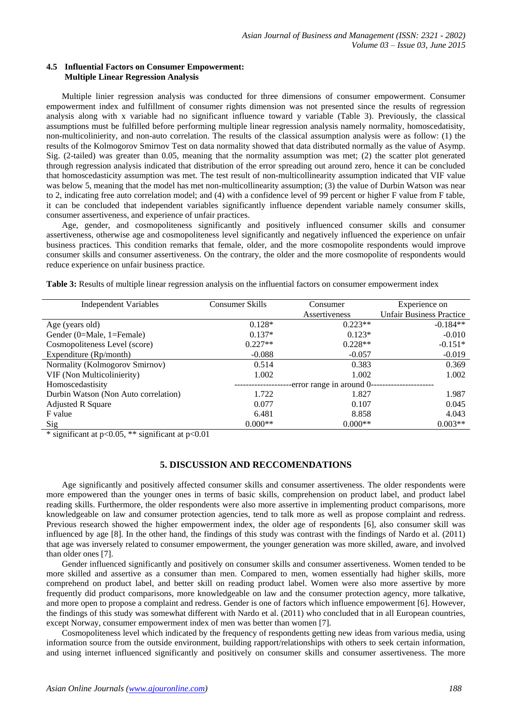### **4.5 Influential Factors on Consumer Empowerment: Multiple Linear Regression Analysis**

Multiple linier regression analysis was conducted for three dimensions of consumer empowerment. Consumer empowerment index and fulfillment of consumer rights dimension was not presented since the results of regression analysis along with x variable had no significant influence toward y variable (Table 3). Previously, the classical assumptions must be fulfilled before performing multiple linear regression analysis namely normality, homoscedatisity, non-multicolinierity, and non-auto correlation. The results of the classical assumption analysis were as follow: (1) the results of the Kolmogorov Smirnov Test on data normality showed that data distributed normally as the value of Asymp. Sig. (2-tailed) was greater than 0.05, meaning that the normality assumption was met; (2) the scatter plot generated through regression analysis indicated that distribution of the error spreading out around zero, hence it can be concluded that homoscedasticity assumption was met. The test result of non-multicollinearity assumption indicated that VIF value was below 5, meaning that the model has met non-multicollinearity assumption; (3) the value of Durbin Watson was near to 2, indicating free auto correlation model; and (4) with a confidence level of 99 percent or higher F value from F table, it can be concluded that independent variables significantly influence dependent variable namely consumer skills, consumer assertiveness, and experience of unfair practices.

Age, gender, and cosmopoliteness significantly and positively influenced consumer skills and consumer assertiveness, otherwise age and cosmopoliteness level significantly and negatively influenced the experience on unfair business practices. This condition remarks that female, older, and the more cosmopolite respondents would improve consumer skills and consumer assertiveness. On the contrary, the older and the more cosmopolite of respondents would reduce experience on unfair business practice.

| <b>Independent Variables</b>         | Consumer Skills | Consumer                  | Experience on                   |  |
|--------------------------------------|-----------------|---------------------------|---------------------------------|--|
|                                      |                 | Assertiveness             | <b>Unfair Business Practice</b> |  |
| Age (years old)                      | $0.128*$        | $0.223**$                 | $-0.184**$                      |  |
| Gender (0=Male, 1=Female)            | $0.137*$        | $0.123*$                  | $-0.010$                        |  |
| Cosmopoliteness Level (score)        | $0.227**$       | $0.228**$                 | $-0.151*$                       |  |
| Expenditure (Rp/month)               | $-0.088$        | $-0.057$                  | $-0.019$                        |  |
| Normality (Kolmogorov Smirnov)       | 0.514           | 0.383                     | 0.369                           |  |
| VIF (Non Multicolinierity)           | 1.002           | 1.002                     | 1.002                           |  |
| Homoscedastisity                     |                 | -error range in around 0- |                                 |  |
| Durbin Watson (Non Auto correlation) | 1.722           | 1.827                     | 1.987                           |  |
| <b>Adjusted R Square</b>             | 0.077           | 0.107                     | 0.045                           |  |
| F value                              | 6.481           | 8.858                     | 4.043                           |  |
| Sig                                  | $0.000**$       | $0.000**$                 | $0.003**$                       |  |

**Table 3:** Results of multiple linear regression analysis on the influential factors on consumer empowerment index

\* significant at  $p<0.05$ , \*\* significant at  $p<0.01$ 

# **5. DISCUSSION AND RECCOMENDATIONS**

Age significantly and positively affected consumer skills and consumer assertiveness. The older respondents were more empowered than the younger ones in terms of basic skills, comprehension on product label, and product label reading skills. Furthermore, the older respondents were also more assertive in implementing product comparisons, more knowledgeable on law and consumer protection agencies, tend to talk more as well as propose complaint and redress. Previous research showed the higher empowerment index, the older age of respondents [6], also consumer skill was influenced by age [8]. In the other hand, the findings of this study was contrast with the findings of Nardo et al. (2011) that age was inversely related to consumer empowerment, the younger generation was more skilled, aware, and involved than older ones [7].

Gender influenced significantly and positively on consumer skills and consumer assertiveness. Women tended to be more skilled and assertive as a consumer than men. Compared to men, women essentially had higher skills, more comprehend on product label, and better skill on reading product label. Women were also more assertive by more frequently did product comparisons, more knowledgeable on law and the consumer protection agency, more talkative, and more open to propose a complaint and redress. Gender is one of factors which influence empowerment [6]. However, the findings of this study was somewhat different with Nardo et al. (2011) who concluded that in all European countries, except Norway, consumer empowerment index of men was better than women [7].

Cosmopoliteness level which indicated by the frequency of respondents getting new ideas from various media, using information source from the outside environment, building rapport/relationships with others to seek certain information, and using internet influenced significantly and positively on consumer skills and consumer assertiveness. The more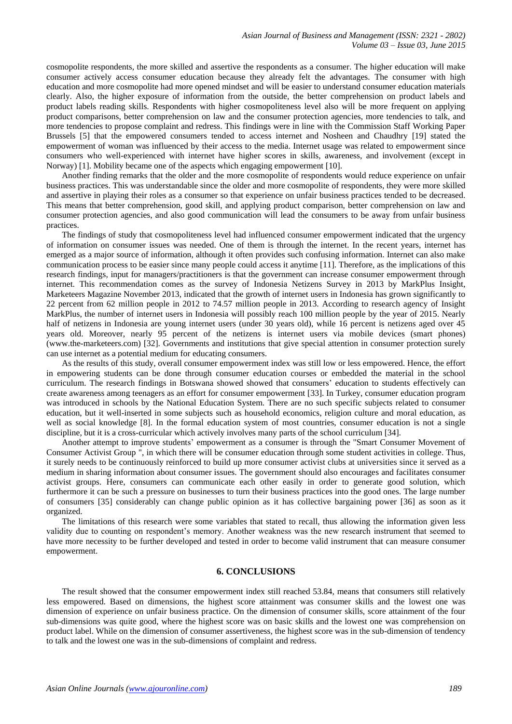cosmopolite respondents, the more skilled and assertive the respondents as a consumer. The higher education will make consumer actively access consumer education because they already felt the advantages. The consumer with high education and more cosmopolite had more opened mindset and will be easier to understand consumer education materials clearly. Also, the higher exposure of information from the outside, the better comprehension on product labels and product labels reading skills. Respondents with higher cosmopoliteness level also will be more frequent on applying product comparisons, better comprehension on law and the consumer protection agencies, more tendencies to talk, and more tendencies to propose complaint and redress. This findings were in line with the Commission Staff Working Paper Brussels [5] that the empowered consumers tended to access internet and Nosheen and Chaudhry [19] stated the empowerment of woman was influenced by their access to the media. Internet usage was related to empowerment since consumers who well-experienced with internet have higher scores in skills, awareness, and involvement (except in Norway) [1]. Mobility became one of the aspects which engaging empowerment [10].

Another finding remarks that the older and the more cosmopolite of respondents would reduce experience on unfair business practices. This was understandable since the older and more cosmopolite of respondents, they were more skilled and assertive in playing their roles as a consumer so that experience on unfair business practices tended to be decreased. This means that better comprehension, good skill, and applying product comparison, better comprehension on law and consumer protection agencies, and also good communication will lead the consumers to be away from unfair business practices.

The findings of study that cosmopoliteness level had influenced consumer empowerment indicated that the urgency of information on consumer issues was needed. One of them is through the internet. In the recent years, internet has emerged as a major source of information, although it often provides such confusing information. Internet can also make communication process to be easier since many people could access it anytime [11]. Therefore, as the implications of this research findings, input for managers/practitioners is that the government can increase consumer empowerment through internet. This recommendation comes as the survey of Indonesia Netizens Survey in 2013 by MarkPlus Insight, Marketeers Magazine November 2013, indicated that the growth of internet users in Indonesia has grown significantly to 22 percent from 62 million people in 2012 to 74.57 million people in 2013. According to research agency of Insight MarkPlus, the number of internet users in Indonesia will possibly reach 100 million people by the year of 2015. Nearly half of netizens in Indonesia are young internet users (under 30 years old), while 16 percent is netizens aged over 45 years old. Moreover, nearly 95 percent of the netizens is internet users via mobile devices (smart phones) [\(www.the-marketeers.com\)](http://www.the-marketeers.com/) [32]. Governments and institutions that give special attention in consumer protection surely can use internet as a potential medium for educating consumers.

As the results of this study, overall consumer empowerment index was still low or less empowered. Hence, the effort in empowering students can be done through consumer education courses or embedded the material in the school curriculum. The research findings in Botswana showed showed that consumers' education to students effectively can create awareness among teenagers as an effort for consumer empowerment [33]. In Turkey, consumer education program was introduced in schools by the National Education System. There are no such specific subjects related to consumer education, but it well-inserted in some subjects such as household economics, religion culture and moral education, as well as social knowledge [8]. In the formal education system of most countries, consumer education is not a single discipline, but it is a cross-curricular which actively involves many parts of the school curriculum [34].

Another attempt to improve students' empowerment as a consumer is through the "Smart Consumer Movement of Consumer Activist Group ", in which there will be consumer education through some student activities in college. Thus, it surely needs to be continuously reinforced to build up more consumer activist clubs at universities since it served as a medium in sharing information about consumer issues. The government should also encourages and facilitates consumer activist groups. Here, consumers can communicate each other easily in order to generate good solution, which furthermore it can be such a pressure on businesses to turn their business practices into the good ones. The large number of consumers [35] considerably can change public opinion as it has collective bargaining power [36] as soon as it organized.

The limitations of this research were some variables that stated to recall, thus allowing the information given less validity due to counting on respondent's memory. Another weakness was the new research instrument that seemed to have more necessity to be further developed and tested in order to become valid instrument that can measure consumer empowerment.

## **6. CONCLUSIONS**

The result showed that the consumer empowerment index still reached 53.84, means that consumers still relatively less empowered. Based on dimensions, the highest score attainment was consumer skills and the lowest one was dimension of experience on unfair business practice. On the dimension of consumer skills, score attainment of the four sub-dimensions was quite good, where the highest score was on basic skills and the lowest one was comprehension on product label. While on the dimension of consumer assertiveness, the highest score was in the sub-dimension of tendency to talk and the lowest one was in the sub-dimensions of complaint and redress.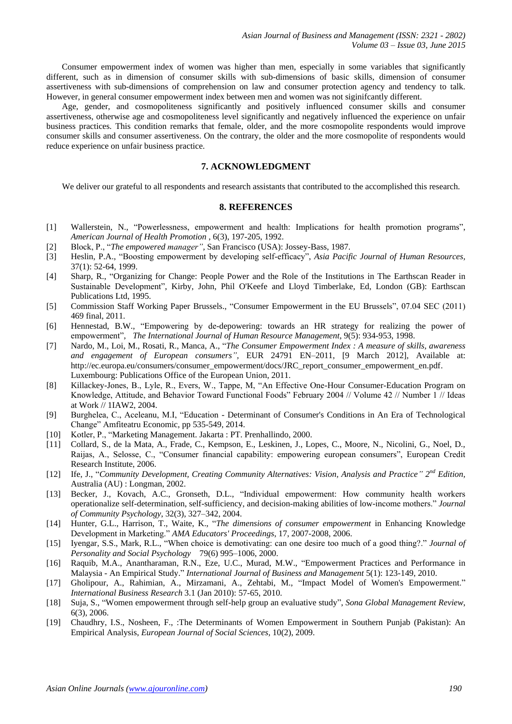Consumer empowerment index of women was higher than men, especially in some variables that significantly different, such as in dimension of consumer skills with sub-dimensions of basic skills, dimension of consumer assertiveness with sub-dimensions of comprehension on law and consumer protection agency and tendency to talk. However, in general consumer empowerment index between men and women was not siginifcantly different.

Age, gender, and cosmopoliteness significantly and positively influenced consumer skills and consumer assertiveness, otherwise age and cosmopoliteness level significantly and negatively influenced the experience on unfair business practices. This condition remarks that female, older, and the more cosmopolite respondents would improve consumer skills and consumer assertiveness. On the contrary, the older and the more cosmopolite of respondents would reduce experience on unfair business practice.

### **7. ACKNOWLEDGMENT**

We deliver our grateful to all respondents and research assistants that contributed to the accomplished this research.

#### **8. REFERENCES**

- [1] Wallerstein, N., "Powerlessness, empowerment and health: Implications for health promotion programs", *American Journal of Health Promotion* , 6(3), 197-205, 1992.
- [2] Block, P., "*The empowered manager",* San Francisco (USA): Jossey-Bass, 1987.
- [3] Heslin, P.A., "Boosting empowerment by developing self-efficacy", *Asia Pacific Journal of Human Resources,*  37(1): 52-64, 1999.
- [4] Sharp, R., "Organizing for Change: People Power and the Role of the Institutions in The Earthscan Reader in Sustainable Development", Kirby, John, Phil O'Keefe and Lloyd Timberlake, Ed, London (GB): Earthscan Publications Ltd, 1995.
- [5] Commission Staff Working Paper Brussels., "Consumer Empowerment in the EU Brussels", 07.04 SEC (2011) 469 final, 2011.
- [6] Hennestad, B.W., "Empowering by de-depowering: towards an HR strategy for realizing the power of empowerment", *The International Journal of Human Resource Management*, 9(5): 934-953, 1998.
- [7] Nardo, M., Loi, M., Rosati, R., Manca, A., "*The Consumer Empowerment Index : A measure of skills, awareness and engagement of European consumers",* EUR 24791 EN–2011, [9 March 2012], Available at: [http://ec.europa.eu/consumers/consumer\\_empowerment/docs/JRC\\_report\\_consumer\\_empowerment\\_en.pdf.](http://ec.europa.eu/consumers/consumer_empowerment/docs/JRC_report_consumer_empowerment_en.pdf) Luxembourg: Publications Office of the European Union, 2011.
- [8] Killackey-Jones, B., Lyle, R., Evers, W., Tappe, M, "An Effective One-Hour Consumer-Education Program on Knowledge, Attitude, and Behavior Toward Functional Foods" February 2004 // Volume 42 // Number 1 // Ideas at Work // 1IAW2, 2004.
- [9] Burghelea, C., Aceleanu, M.I, "Education Determinant of Consumer's Conditions in An Era of Technological Change" Amfiteatru Economic, pp 535-549, 2014.
- [10] Kotler, P., "Marketing Management. Jakarta : PT. Prenhallindo, 2000.
- [11] Collard, S., de la Mata, A., Frade, C., Kempson, E., Leskinen, J., Lopes, C., Moore, N., Nicolini, G., Noel, D., Raijas, A., Selosse, C., "Consumer financial capability: empowering european consumers", European Credit Research Institute, 2006.
- [12] Ife, J., "*Community Development, Creating Community Alternatives: Vision, Analysis and Practice" 2 nd Edition,* Australia (AU) : Longman, 2002.
- [13] Becker, J., Kovach, A.C., Gronseth, D.L., "Individual empowerment: How community health workers operationalize self-determination, self-sufficiency, and decision-making abilities of low-income mothers." *Journal of Community Psychology*, 32(3), 327–342, 2004.
- [14] [Hunter,](http://search.proquest.com/docview.lateralsearchlink:lateralsearch/sng/author/Hunter,+Gary+L/$N?t:ac=216597653/Record/13561542AC2254D6F42/14&t:cp=maintain/resultcitationblocks) G.L., Harrison, T., Waite, K., "*The dimensions of consumer empowerment* in Enhancing Knowledge Development in Marketing." *AMA Educators' Proceedings*, 17, 2007-2008, 2006.
- [15] Iyengar, S.S., Mark, R.L., "When choice is demotivating: can one desire too much of a good thing?." *Journal of Personality and Social Psychology* 79(6) 995–1006, 2000.
- [16] Raquib, M.A., Anantharaman, R.N., Eze, U.C., Murad, M.W., "Empowerment Practices and Performance in Malaysia - An Empirical Study." *[International Journal of Business and Management](http://search.proquest.com/pubidlinkhandler/sng/pubtitle/International+Journal+of+Business+and+Management/$N/307069?accountid=32819)* 5(1): 123-149, 2010.
- [17] [Gholipour,](http://search.proquest.com/indexinglinkhandler/sng/au/Gholipour,+Aryan/$N?accountid=32819) A., [Rahimian,](http://search.proquest.com/indexinglinkhandler/sng/au/Rahimian,+Ashraf/$N?accountid=32819) A., [Mirzamani,](http://search.proquest.com/indexinglinkhandler/sng/au/Mirzamani,+Azam/$N?accountid=32819) A., [Zehtabi,](http://search.proquest.com/indexinglinkhandler/sng/au/Zehtabi,+Mona/$N?accountid=32819) M., "Impact Model of Women's Empowerment." *[International Business Research](http://search.proquest.com/pubidlinkhandler/sng/pubtitle/International+Business+Research/$N/307072/DocView/821695484/fulltext/A4726E015AED4B2EPQ/6?accountid=32819)* [3.1](http://search.proquest.com/pubidlinkhandler/sng/pubtitle/International+Business+Research/$N/307072/DocView/821695484/fulltext/A4726E015AED4B2EPQ/6?accountid=32819) (Jan 2010): 57-65, 2010.
- [18] Suja, S., "Women empowerment through self-help group an evaluative study", *Sona Global Management Review*, 6(3), 2006.
- [19] Chaudhry, I.S., Nosheen, F., :The Determinants of Women Empowerment in Southern Punjab (Pakistan): An Empirical Analysis, *European Journal of Social Sciences,* 10(2), 2009.